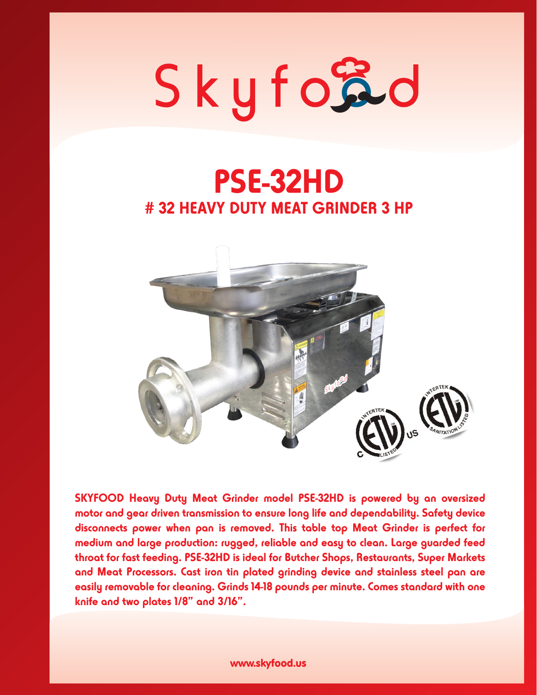## Skyford

### **PSE-32HD # 32 HEAVY DUTY MEAT GRINDER 3 HP**



**SKYFOOD Heavy Duty Meat Grinder model PSE-32HD is powered by an oversized motor and gear driven transmission to ensure long life and dependability. Safety device disconnects power when pan is removed. This table top Meat Grinder is perfect for medium and large production: rugged, reliable and easy to clean. Large guarded feed throat for fast feeding. PSE-32HD is ideal for Butcher Shops, Restaurants, Super Markets and Meat Processors. Cast iron tin plated grinding device and stainless steel pan are easily removable for cleaning. Grinds 14-18 pounds per minute. Comes standard with one knife and two plates 1/8" and 3/16".**